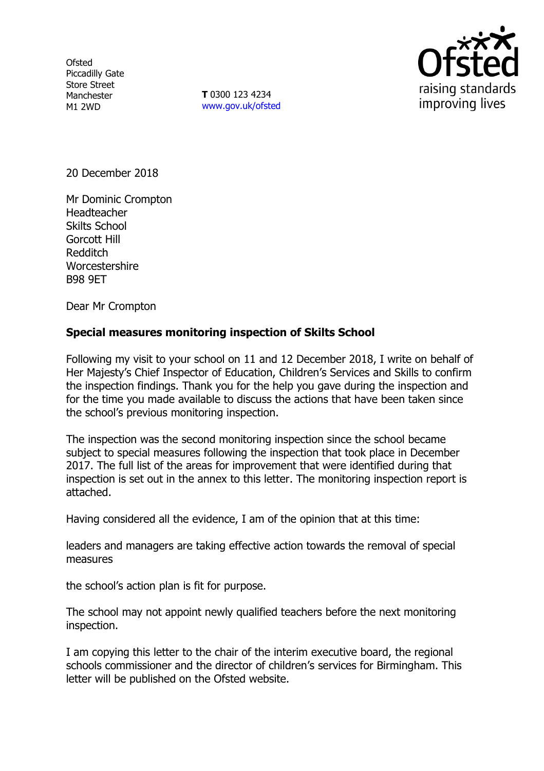**Ofsted** Piccadilly Gate Store Street Manchester M1 2WD

**T** 0300 123 4234 www.gov.uk/ofsted



20 December 2018

Mr Dominic Crompton Headteacher Skilts School Gorcott Hill Redditch **Worcestershire** B98 9ET

Dear Mr Crompton

# **Special measures monitoring inspection of Skilts School**

Following my visit to your school on 11 and 12 December 2018, I write on behalf of Her Majesty's Chief Inspector of Education, Children's Services and Skills to confirm the inspection findings. Thank you for the help you gave during the inspection and for the time you made available to discuss the actions that have been taken since the school's previous monitoring inspection.

The inspection was the second monitoring inspection since the school became subject to special measures following the inspection that took place in December 2017. The full list of the areas for improvement that were identified during that inspection is set out in the annex to this letter. The monitoring inspection report is attached.

Having considered all the evidence, I am of the opinion that at this time:

leaders and managers are taking effective action towards the removal of special measures

the school's action plan is fit for purpose.

The school may not appoint newly qualified teachers before the next monitoring inspection.

I am copying this letter to the chair of the interim executive board, the regional schools commissioner and the director of children's services for Birmingham. This letter will be published on the Ofsted website.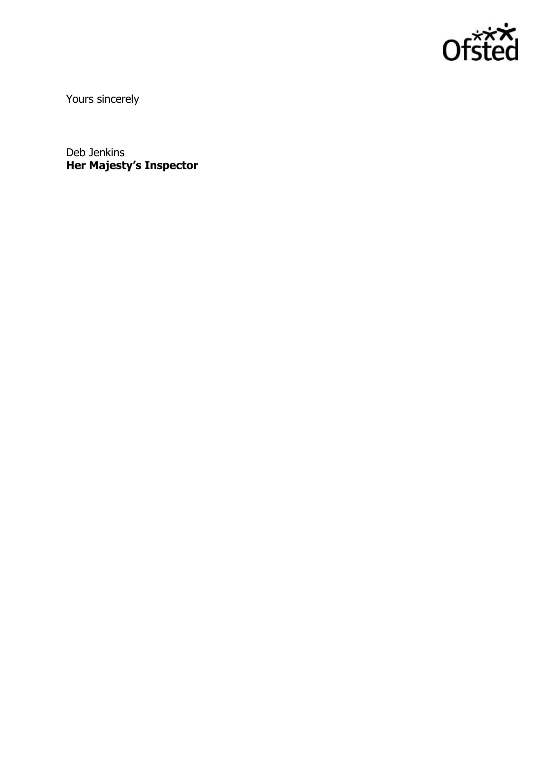

Yours sincerely

Deb Jenkins **Her Majesty's Inspector**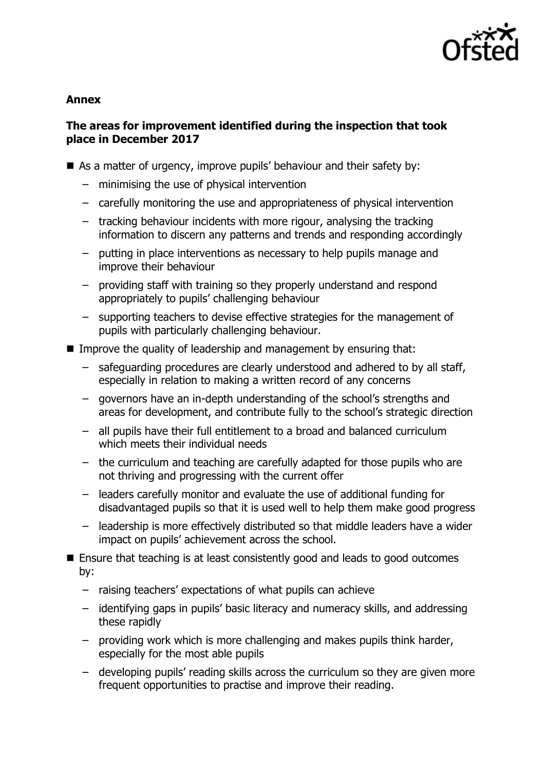

### **Annex**

# **The areas for improvement identified during the inspection that took place in December 2017**

- As a matter of urgency, improve pupils' behaviour and their safety by:
	- minimising the use of physical intervention
	- carefully monitoring the use and appropriateness of physical intervention
	- tracking behaviour incidents with more rigour, analysing the tracking information to discern any patterns and trends and responding accordingly
	- putting in place interventions as necessary to help pupils manage and improve their behaviour
	- providing staff with training so they properly understand and respond appropriately to pupils' challenging behaviour
	- supporting teachers to devise effective strategies for the management of pupils with particularly challenging behaviour.
- Improve the quality of leadership and management by ensuring that:
	- safeguarding procedures are clearly understood and adhered to by all staff, especially in relation to making a written record of any concerns
	- governors have an in-depth understanding of the school's strengths and areas for development, and contribute fully to the school's strategic direction
	- all pupils have their full entitlement to a broad and balanced curriculum which meets their individual needs
	- the curriculum and teaching are carefully adapted for those pupils who are not thriving and progressing with the current offer
	- leaders carefully monitor and evaluate the use of additional funding for disadvantaged pupils so that it is used well to help them make good progress
	- leadership is more effectively distributed so that middle leaders have a wider impact on pupils' achievement across the school.
- Ensure that teaching is at least consistently good and leads to good outcomes by:
	- raising teachers' expectations of what pupils can achieve
	- identifying gaps in pupils' basic literacy and numeracy skills, and addressing these rapidly
	- providing work which is more challenging and makes pupils think harder, especially for the most able pupils
	- developing pupils' reading skills across the curriculum so they are given more frequent opportunities to practise and improve their reading.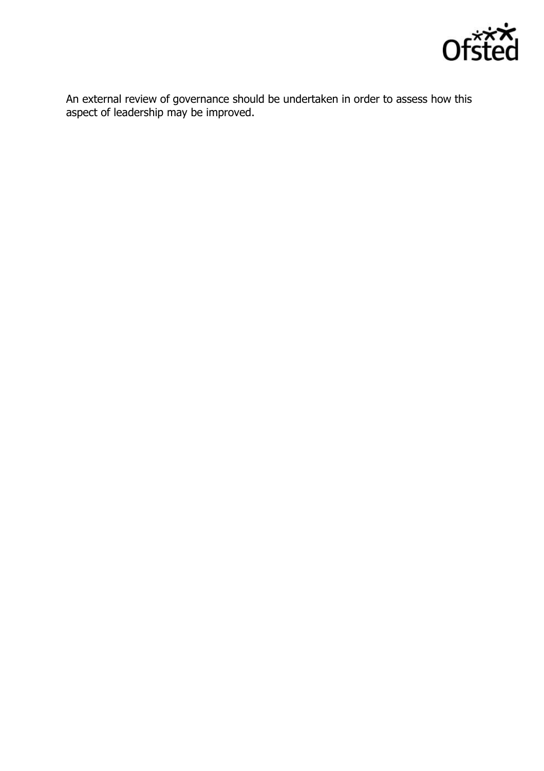

An external review of governance should be undertaken in order to assess how this aspect of leadership may be improved.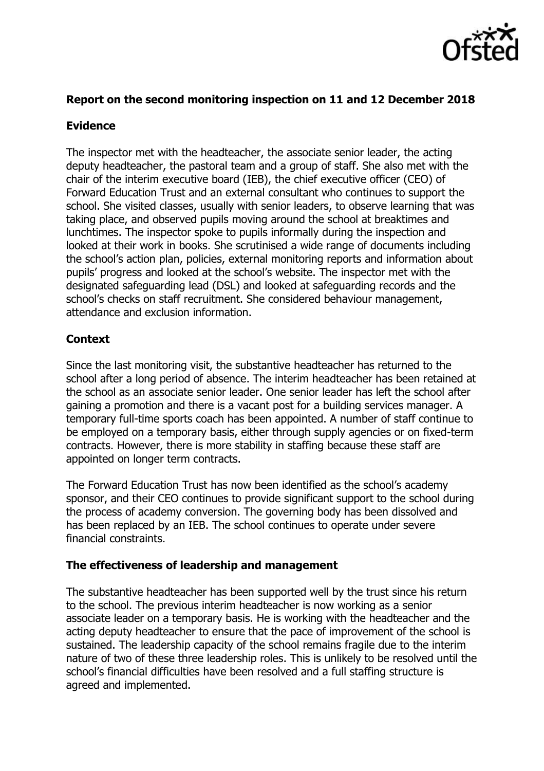

## **Report on the second monitoring inspection on 11 and 12 December 2018**

# **Evidence**

The inspector met with the headteacher, the associate senior leader, the acting deputy headteacher, the pastoral team and a group of staff. She also met with the chair of the interim executive board (IEB), the chief executive officer (CEO) of Forward Education Trust and an external consultant who continues to support the school. She visited classes, usually with senior leaders, to observe learning that was taking place, and observed pupils moving around the school at breaktimes and lunchtimes. The inspector spoke to pupils informally during the inspection and looked at their work in books. She scrutinised a wide range of documents including the school's action plan, policies, external monitoring reports and information about pupils' progress and looked at the school's website. The inspector met with the designated safeguarding lead (DSL) and looked at safeguarding records and the school's checks on staff recruitment. She considered behaviour management, attendance and exclusion information.

# **Context**

Since the last monitoring visit, the substantive headteacher has returned to the school after a long period of absence. The interim headteacher has been retained at the school as an associate senior leader. One senior leader has left the school after gaining a promotion and there is a vacant post for a building services manager. A temporary full-time sports coach has been appointed. A number of staff continue to be employed on a temporary basis, either through supply agencies or on fixed-term contracts. However, there is more stability in staffing because these staff are appointed on longer term contracts.

The Forward Education Trust has now been identified as the school's academy sponsor, and their CEO continues to provide significant support to the school during the process of academy conversion. The governing body has been dissolved and has been replaced by an IEB. The school continues to operate under severe financial constraints.

### **The effectiveness of leadership and management**

The substantive headteacher has been supported well by the trust since his return to the school. The previous interim headteacher is now working as a senior associate leader on a temporary basis. He is working with the headteacher and the acting deputy headteacher to ensure that the pace of improvement of the school is sustained. The leadership capacity of the school remains fragile due to the interim nature of two of these three leadership roles. This is unlikely to be resolved until the school's financial difficulties have been resolved and a full staffing structure is agreed and implemented.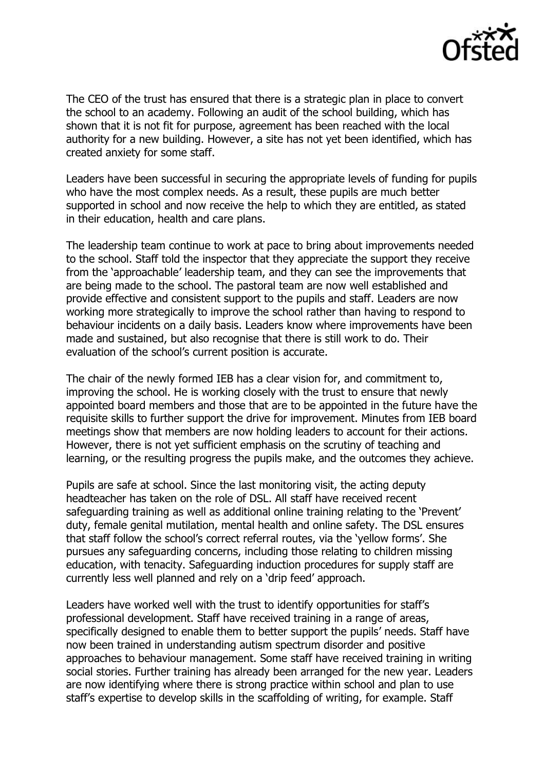

The CEO of the trust has ensured that there is a strategic plan in place to convert the school to an academy. Following an audit of the school building, which has shown that it is not fit for purpose, agreement has been reached with the local authority for a new building. However, a site has not yet been identified, which has created anxiety for some staff.

Leaders have been successful in securing the appropriate levels of funding for pupils who have the most complex needs. As a result, these pupils are much better supported in school and now receive the help to which they are entitled, as stated in their education, health and care plans.

The leadership team continue to work at pace to bring about improvements needed to the school. Staff told the inspector that they appreciate the support they receive from the 'approachable' leadership team, and they can see the improvements that are being made to the school. The pastoral team are now well established and provide effective and consistent support to the pupils and staff. Leaders are now working more strategically to improve the school rather than having to respond to behaviour incidents on a daily basis. Leaders know where improvements have been made and sustained, but also recognise that there is still work to do. Their evaluation of the school's current position is accurate.

The chair of the newly formed IEB has a clear vision for, and commitment to, improving the school. He is working closely with the trust to ensure that newly appointed board members and those that are to be appointed in the future have the requisite skills to further support the drive for improvement. Minutes from IEB board meetings show that members are now holding leaders to account for their actions. However, there is not yet sufficient emphasis on the scrutiny of teaching and learning, or the resulting progress the pupils make, and the outcomes they achieve.

Pupils are safe at school. Since the last monitoring visit, the acting deputy headteacher has taken on the role of DSL. All staff have received recent safeguarding training as well as additional online training relating to the 'Prevent' duty, female genital mutilation, mental health and online safety. The DSL ensures that staff follow the school's correct referral routes, via the 'yellow forms'. She pursues any safeguarding concerns, including those relating to children missing education, with tenacity. Safeguarding induction procedures for supply staff are currently less well planned and rely on a 'drip feed' approach.

Leaders have worked well with the trust to identify opportunities for staff's professional development. Staff have received training in a range of areas, specifically designed to enable them to better support the pupils' needs. Staff have now been trained in understanding autism spectrum disorder and positive approaches to behaviour management. Some staff have received training in writing social stories. Further training has already been arranged for the new year. Leaders are now identifying where there is strong practice within school and plan to use staff's expertise to develop skills in the scaffolding of writing, for example. Staff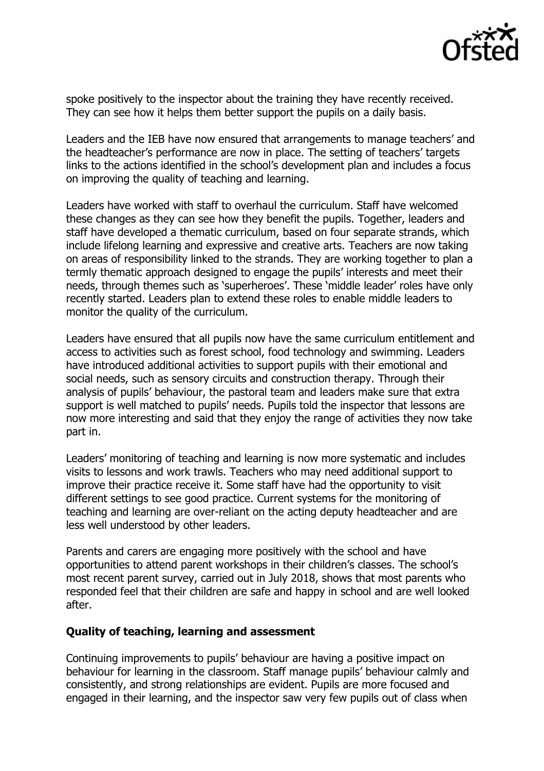

spoke positively to the inspector about the training they have recently received. They can see how it helps them better support the pupils on a daily basis.

Leaders and the IEB have now ensured that arrangements to manage teachers' and the headteacher's performance are now in place. The setting of teachers' targets links to the actions identified in the school's development plan and includes a focus on improving the quality of teaching and learning.

Leaders have worked with staff to overhaul the curriculum. Staff have welcomed these changes as they can see how they benefit the pupils. Together, leaders and staff have developed a thematic curriculum, based on four separate strands, which include lifelong learning and expressive and creative arts. Teachers are now taking on areas of responsibility linked to the strands. They are working together to plan a termly thematic approach designed to engage the pupils' interests and meet their needs, through themes such as 'superheroes'. These 'middle leader' roles have only recently started. Leaders plan to extend these roles to enable middle leaders to monitor the quality of the curriculum.

Leaders have ensured that all pupils now have the same curriculum entitlement and access to activities such as forest school, food technology and swimming. Leaders have introduced additional activities to support pupils with their emotional and social needs, such as sensory circuits and construction therapy. Through their analysis of pupils' behaviour, the pastoral team and leaders make sure that extra support is well matched to pupils' needs. Pupils told the inspector that lessons are now more interesting and said that they enjoy the range of activities they now take part in.

Leaders' monitoring of teaching and learning is now more systematic and includes visits to lessons and work trawls. Teachers who may need additional support to improve their practice receive it. Some staff have had the opportunity to visit different settings to see good practice. Current systems for the monitoring of teaching and learning are over-reliant on the acting deputy headteacher and are less well understood by other leaders.

Parents and carers are engaging more positively with the school and have opportunities to attend parent workshops in their children's classes. The school's most recent parent survey, carried out in July 2018, shows that most parents who responded feel that their children are safe and happy in school and are well looked after.

#### **Quality of teaching, learning and assessment**

Continuing improvements to pupils' behaviour are having a positive impact on behaviour for learning in the classroom. Staff manage pupils' behaviour calmly and consistently, and strong relationships are evident. Pupils are more focused and engaged in their learning, and the inspector saw very few pupils out of class when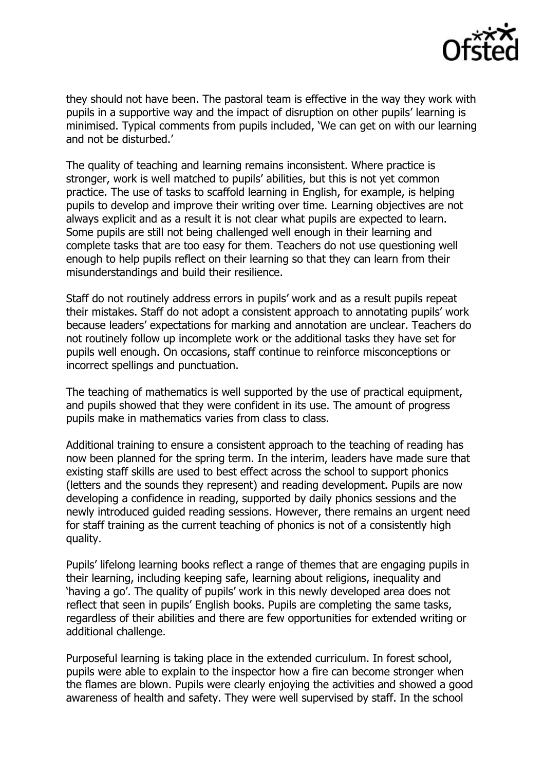

they should not have been. The pastoral team is effective in the way they work with pupils in a supportive way and the impact of disruption on other pupils' learning is minimised. Typical comments from pupils included, 'We can get on with our learning and not be disturbed.'

The quality of teaching and learning remains inconsistent. Where practice is stronger, work is well matched to pupils' abilities, but this is not yet common practice. The use of tasks to scaffold learning in English, for example, is helping pupils to develop and improve their writing over time. Learning objectives are not always explicit and as a result it is not clear what pupils are expected to learn. Some pupils are still not being challenged well enough in their learning and complete tasks that are too easy for them. Teachers do not use questioning well enough to help pupils reflect on their learning so that they can learn from their misunderstandings and build their resilience.

Staff do not routinely address errors in pupils' work and as a result pupils repeat their mistakes. Staff do not adopt a consistent approach to annotating pupils' work because leaders' expectations for marking and annotation are unclear. Teachers do not routinely follow up incomplete work or the additional tasks they have set for pupils well enough. On occasions, staff continue to reinforce misconceptions or incorrect spellings and punctuation.

The teaching of mathematics is well supported by the use of practical equipment, and pupils showed that they were confident in its use. The amount of progress pupils make in mathematics varies from class to class.

Additional training to ensure a consistent approach to the teaching of reading has now been planned for the spring term. In the interim, leaders have made sure that existing staff skills are used to best effect across the school to support phonics (letters and the sounds they represent) and reading development. Pupils are now developing a confidence in reading, supported by daily phonics sessions and the newly introduced guided reading sessions. However, there remains an urgent need for staff training as the current teaching of phonics is not of a consistently high quality.

Pupils' lifelong learning books reflect a range of themes that are engaging pupils in their learning, including keeping safe, learning about religions, inequality and 'having a go'. The quality of pupils' work in this newly developed area does not reflect that seen in pupils' English books. Pupils are completing the same tasks, regardless of their abilities and there are few opportunities for extended writing or additional challenge.

Purposeful learning is taking place in the extended curriculum. In forest school, pupils were able to explain to the inspector how a fire can become stronger when the flames are blown. Pupils were clearly enjoying the activities and showed a good awareness of health and safety. They were well supervised by staff. In the school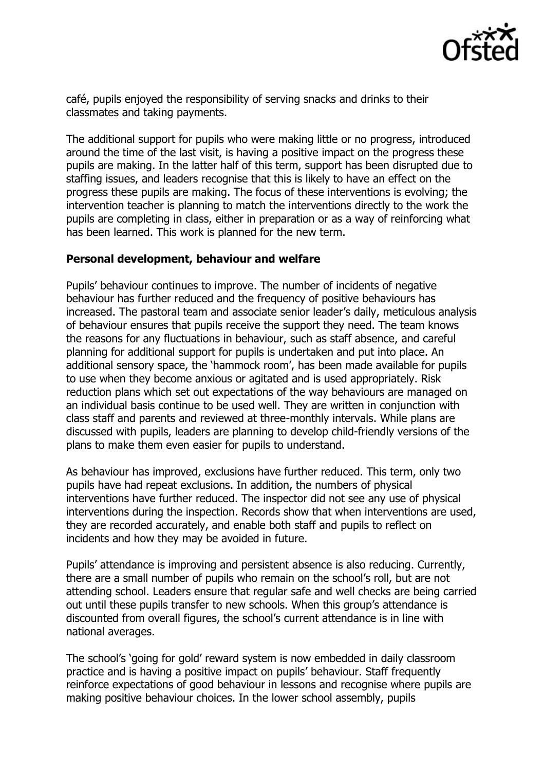

café, pupils enjoyed the responsibility of serving snacks and drinks to their classmates and taking payments.

The additional support for pupils who were making little or no progress, introduced around the time of the last visit, is having a positive impact on the progress these pupils are making. In the latter half of this term, support has been disrupted due to staffing issues, and leaders recognise that this is likely to have an effect on the progress these pupils are making. The focus of these interventions is evolving; the intervention teacher is planning to match the interventions directly to the work the pupils are completing in class, either in preparation or as a way of reinforcing what has been learned. This work is planned for the new term.

#### **Personal development, behaviour and welfare**

Pupils' behaviour continues to improve. The number of incidents of negative behaviour has further reduced and the frequency of positive behaviours has increased. The pastoral team and associate senior leader's daily, meticulous analysis of behaviour ensures that pupils receive the support they need. The team knows the reasons for any fluctuations in behaviour, such as staff absence, and careful planning for additional support for pupils is undertaken and put into place. An additional sensory space, the 'hammock room', has been made available for pupils to use when they become anxious or agitated and is used appropriately. Risk reduction plans which set out expectations of the way behaviours are managed on an individual basis continue to be used well. They are written in conjunction with class staff and parents and reviewed at three-monthly intervals. While plans are discussed with pupils, leaders are planning to develop child-friendly versions of the plans to make them even easier for pupils to understand.

As behaviour has improved, exclusions have further reduced. This term, only two pupils have had repeat exclusions. In addition, the numbers of physical interventions have further reduced. The inspector did not see any use of physical interventions during the inspection. Records show that when interventions are used, they are recorded accurately, and enable both staff and pupils to reflect on incidents and how they may be avoided in future.

Pupils' attendance is improving and persistent absence is also reducing. Currently, there are a small number of pupils who remain on the school's roll, but are not attending school. Leaders ensure that regular safe and well checks are being carried out until these pupils transfer to new schools. When this group's attendance is discounted from overall figures, the school's current attendance is in line with national averages.

The school's 'going for gold' reward system is now embedded in daily classroom practice and is having a positive impact on pupils' behaviour. Staff frequently reinforce expectations of good behaviour in lessons and recognise where pupils are making positive behaviour choices. In the lower school assembly, pupils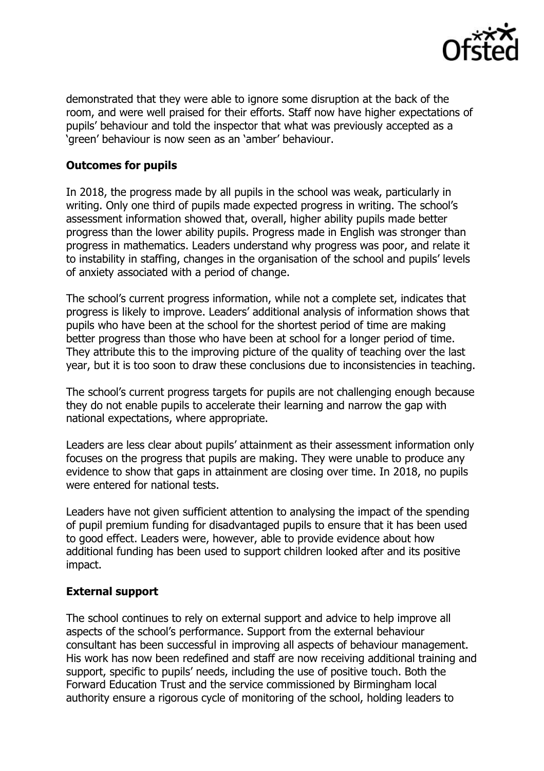

demonstrated that they were able to ignore some disruption at the back of the room, and were well praised for their efforts. Staff now have higher expectations of pupils' behaviour and told the inspector that what was previously accepted as a 'green' behaviour is now seen as an 'amber' behaviour.

#### **Outcomes for pupils**

In 2018, the progress made by all pupils in the school was weak, particularly in writing. Only one third of pupils made expected progress in writing. The school's assessment information showed that, overall, higher ability pupils made better progress than the lower ability pupils. Progress made in English was stronger than progress in mathematics. Leaders understand why progress was poor, and relate it to instability in staffing, changes in the organisation of the school and pupils' levels of anxiety associated with a period of change.

The school's current progress information, while not a complete set, indicates that progress is likely to improve. Leaders' additional analysis of information shows that pupils who have been at the school for the shortest period of time are making better progress than those who have been at school for a longer period of time. They attribute this to the improving picture of the quality of teaching over the last year, but it is too soon to draw these conclusions due to inconsistencies in teaching.

The school's current progress targets for pupils are not challenging enough because they do not enable pupils to accelerate their learning and narrow the gap with national expectations, where appropriate.

Leaders are less clear about pupils' attainment as their assessment information only focuses on the progress that pupils are making. They were unable to produce any evidence to show that gaps in attainment are closing over time. In 2018, no pupils were entered for national tests.

Leaders have not given sufficient attention to analysing the impact of the spending of pupil premium funding for disadvantaged pupils to ensure that it has been used to good effect. Leaders were, however, able to provide evidence about how additional funding has been used to support children looked after and its positive impact.

#### **External support**

The school continues to rely on external support and advice to help improve all aspects of the school's performance. Support from the external behaviour consultant has been successful in improving all aspects of behaviour management. His work has now been redefined and staff are now receiving additional training and support, specific to pupils' needs, including the use of positive touch. Both the Forward Education Trust and the service commissioned by Birmingham local authority ensure a rigorous cycle of monitoring of the school, holding leaders to